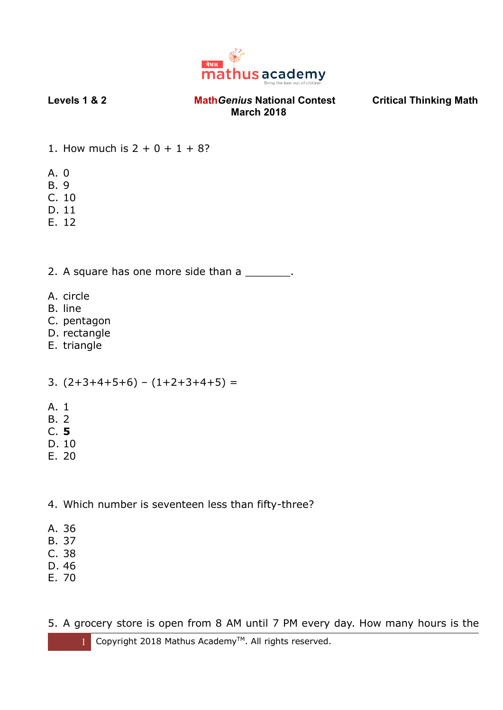

- 1. How much is  $2 + 0 + 1 + 8$ ?
- A. 0
- B. 9
- C. 10
- D. 11
- E. 12

2. A square has one more side than a

- A. circle
- B. line
- C. pentagon
- D. rectangle
- E. triangle

3. (2+3+4+5+6) – (1+2+3+4+5) =

- A. 1
- B. 2
- C. **5**
- D. 10
- E. 20

4. Which number is seventeen less than fifty-three?

- A. 36
- B. 37
- C. 38
- D. 46
- E. 70

5. A grocery store is open from 8 AM until 7 PM every day. How many hours is the

1 Copyright 2018 Mathus Academy<sup>™</sup>. All rights reserved.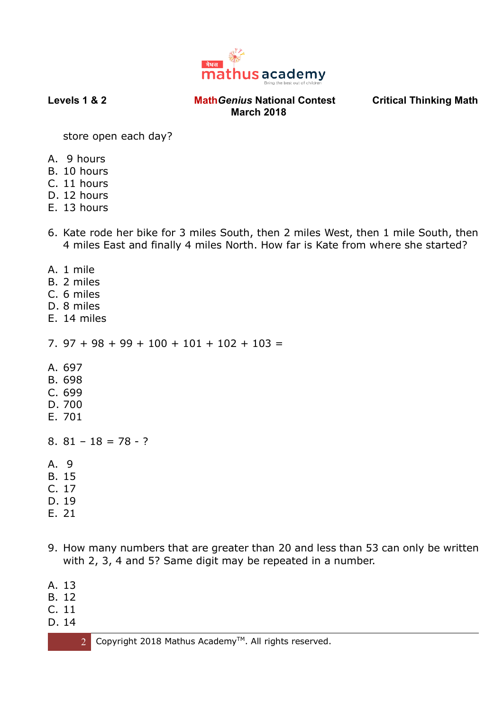

store open each day?

- A. 9 hours
- B. 10 hours
- C. 11 hours
- D. 12 hours
- E. 13 hours
- 6. Kate rode her bike for 3 miles South, then 2 miles West, then 1 mile South, then 4 miles East and finally 4 miles North. How far is Kate from where she started?
- A. 1 mile
- B. 2 miles
- C. 6 miles
- D. 8 miles
- E. 14 miles

7.  $97 + 98 + 99 + 100 + 101 + 102 + 103 =$ 

- A. 697
- B. 698
- C. 699
- D. 700
- E. 701
- 8.  $81 18 = 78 ?$
- A. 9
- B. 15
- C. 17
- D. 19
- E. 21
- 9. How many numbers that are greater than 20 and less than 53 can only be written with 2, 3, 4 and 5? Same digit may be repeated in a number.
- A. 13
- B. 12
- C. 11
- D. 14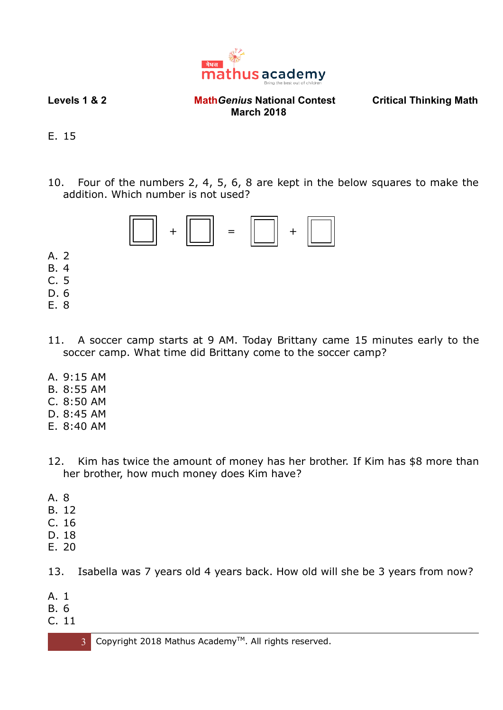

E. 15

10. Four of the numbers 2, 4, 5, 6, 8 are kept in the below squares to make the addition. Which number is not used?



C. 5 D. 6

A. 2 B. 4

- E. 8
- 11. A soccer camp starts at 9 AM. Today Brittany came 15 minutes early to the soccer camp. What time did Brittany come to the soccer camp?
- A. 9:15 AM
- B. 8:55 AM
- C. 8:50 AM
- D. 8:45 AM
- E. 8:40 AM
- 12. Kim has twice the amount of money has her brother. If Kim has \$8 more than her brother, how much money does Kim have?
- A. 8
- B. 12
- C. 16
- D. 18
- E. 20
- 13. Isabella was 7 years old 4 years back. How old will she be 3 years from now?
- A. 1
- B. 6
- C. 11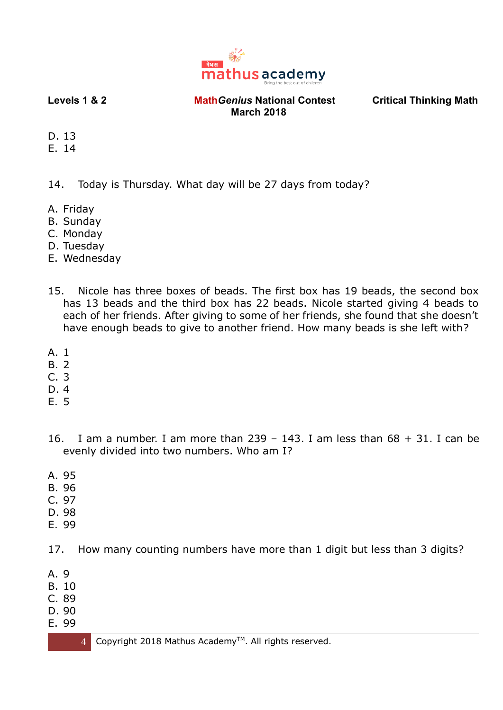

- D. 13
- E. 14

14. Today is Thursday. What day will be 27 days from today?

- A. Friday
- B. Sunday
- C. Monday
- D. Tuesday
- E. Wednesday
- 15. Nicole has three boxes of beads. The first box has 19 beads, the second box has 13 beads and the third box has 22 beads. Nicole started giving 4 beads to each of her friends. After giving to some of her friends, she found that she doesn't have enough beads to give to another friend. How many beads is she left with?
- A. 1
- B. 2
- C. 3
- D. 4
- E. 5
- 16. I am a number. I am more than  $239 143$ . I am less than  $68 + 31$ . I can be evenly divided into two numbers. Who am I?
- A. 95
- B. 96
- C. 97
- D. 98
- E. 99

17. How many counting numbers have more than 1 digit but less than 3 digits?

- A. 9
- B. 10
- C. 89
- D. 90
- E. 99